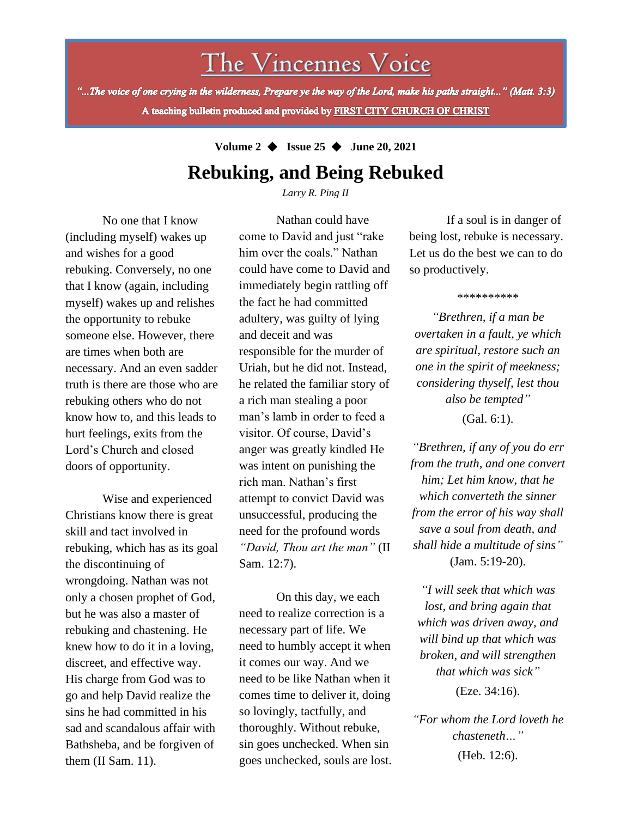# The Vincennes Voice

"...The voice of one crying in the wilderness, Prepare ye the way of the Lord, make his paths straight..." (Matt. 3:3) A teaching bulletin produced and provided by FIRST CITY CHURCH OF CHRIST

**Volume 2** ◆ **Issue 25** ◆ **June 20, 2021**

## **Rebuking, and Being Rebuked**

*Larry R. Ping II*

No one that I know (including myself) wakes up and wishes for a good rebuking. Conversely, no one that I know (again, including myself) wakes up and relishes the opportunity to rebuke someone else. However, there are times when both are necessary. And an even sadder truth is there are those who are rebuking others who do not know how to, and this leads to hurt feelings, exits from the Lord's Church and closed doors of opportunity.

sins he had committed in his Wise and experienced Christians know there is great skill and tact involved in rebuking, which has as its goal the discontinuing of wrongdoing. Nathan was not only a chosen prophet of God, but he was also a master of rebuking and chastening. He knew how to do it in a loving, discreet, and effective way. His charge from God was to go and help David realize the sad and scandalous affair with Bathsheba, and be forgiven of them (II Sam. 11).

Nathan could have come to David and just "rake him over the coals." Nathan could have come to David and immediately begin rattling off the fact he had committed adultery, was guilty of lying and deceit and was responsible for the murder of Uriah, but he did not. Instead, he related the familiar story of a rich man stealing a poor man's lamb in order to feed a visitor. Of course, David's anger was greatly kindled He was intent on punishing the rich man. Nathan's first attempt to convict David was unsuccessful, producing the need for the profound words *"David, Thou art the man"* (II Sam. 12:7).

On this day, we each need to realize correction is a necessary part of life. We need to humbly accept it when it comes our way. And we need to be like Nathan when it comes time to deliver it, doing so lovingly, tactfully, and thoroughly. Without rebuke, sin goes unchecked. When sin goes unchecked, souls are lost.

If a soul is in danger of being lost, rebuke is necessary. Let us do the best we can to do so productively.

\*\*\*\*\*\*\*\*\*\*

*"Brethren, if a man be overtaken in a fault, ye which are spiritual, restore such an one in the spirit of meekness; considering thyself, lest thou also be tempted"* (Gal. 6:1).

*"Brethren, if any of you do err from the truth, and one convert him; Let him know, that he which converteth the sinner from the error of his way shall save a soul from death, and shall hide a multitude of sins"* (Jam. 5:19-20).

*"I will seek that which was lost, and bring again that which was driven away, and will bind up that which was broken, and will strengthen that which was sick"* (Eze. 34:16).

*"For whom the Lord loveth he chasteneth…"* (Heb. 12:6).